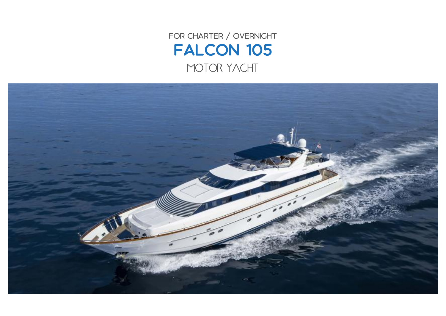FOR CHARTER / OVERNIGHT Falcon 105 MOTOR YACHT

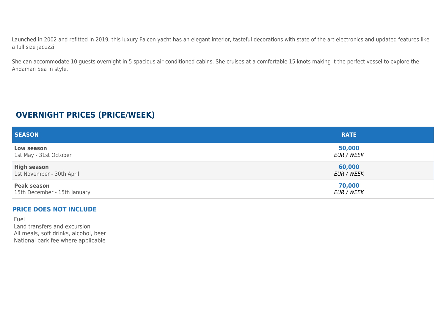Launched in 2002 and refitted in 2019, this luxury Falcon yacht has an elegant interior, tasteful decorations with state of the art electronics and updated features like a full size jacuzzi.

She can accommodate 10 guests overnight in 5 spacious air-conditioned cabins. She cruises at a comfortable 15 knots making it the perfect vessel to explore the Andaman Sea in style.

## **OVERNIGHT PRICES (PRICE/WEEK)**

| <b>SEASON</b>                | <b>RATE</b>       |
|------------------------------|-------------------|
| Low season                   | 50,000            |
| 1st May - 31st October       | <b>EUR / WEEK</b> |
| <b>High season</b>           | 60,000            |
| 1st November - 30th April    | EUR / WEEK        |
| <b>Peak season</b>           | 70,000            |
| 15th December - 15th January | EUR / WEEK        |

## **PRICE DOES NOT INCLUDE**

Fuel Land transfers and excursion All meals, soft drinks, alcohol, beer National park fee where applicable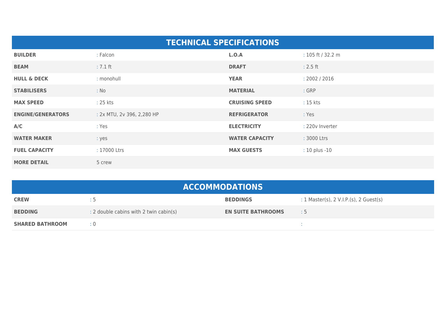| <b>TECHNICAL SPECIFICATIONS</b> |                            |                       |                     |  |  |
|---------------------------------|----------------------------|-----------------------|---------------------|--|--|
| <b>BUILDER</b>                  | : Falcon                   | L.O.A                 | : $105$ ft / 32.2 m |  |  |
| <b>BEAM</b>                     | $: 7.1$ ft                 | <b>DRAFT</b>          | $: 2.5$ ft          |  |  |
| <b>HULL &amp; DECK</b>          | : monohull                 | <b>YEAR</b>           | : 2002 / 2016       |  |  |
| <b>STABILISERS</b>              | : No                       | <b>MATERIAL</b>       | : GRP               |  |  |
| <b>MAX SPEED</b>                | : 25 kts                   | <b>CRUISING SPEED</b> | : 15 kts            |  |  |
| <b>ENGINE/GENERATORS</b>        | : 2x MTU, 2v 396, 2,280 HP | <b>REFRIGERATOR</b>   | : Yes               |  |  |
| A/C                             | : Yes                      | <b>ELECTRICITY</b>    | : 220v Inverter     |  |  |
| <b>WATER MAKER</b>              | : yes                      | <b>WATER CAPACITY</b> | : 3000 Ltrs         |  |  |
| <b>FUEL CAPACITY</b>            | : 17000 Ltrs               | <b>MAX GUESTS</b>     | : 10 plus -10       |  |  |
| <b>MORE DETAIL</b>              | 5 crew                     |                       |                     |  |  |

| <b>ACCOMMODATIONS</b>  |                                        |                           |                                            |  |  |
|------------------------|----------------------------------------|---------------------------|--------------------------------------------|--|--|
| <b>CREW</b>            | כ :                                    | <b>BEDDINGS</b>           | : 1 Master(s), $2$ V.I.P.(s), $2$ Guest(s) |  |  |
| <b>BEDDING</b>         | : 2 double cabins with 2 twin cabin(s) | <b>EN SUITE BATHROOMS</b> | $\therefore$ 5                             |  |  |
| <b>SHARED BATHROOM</b> | $\div 0$                               |                           |                                            |  |  |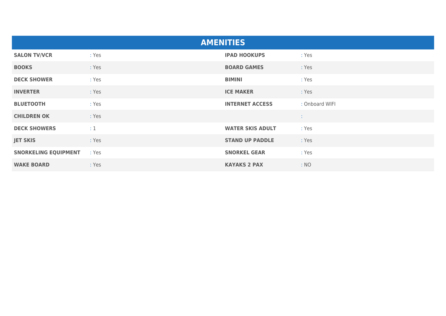| <b>AMENITIES</b>            |       |                         |                |  |  |
|-----------------------------|-------|-------------------------|----------------|--|--|
| <b>SALON TV/VCR</b>         | : Yes | <b>IPAD HOOKUPS</b>     | : Yes          |  |  |
| <b>BOOKS</b>                | : Yes | <b>BOARD GAMES</b>      | : Yes          |  |  |
| <b>DECK SHOWER</b>          | : Yes | <b>BIMINI</b>           | : Yes          |  |  |
| <b>INVERTER</b>             | : Yes | <b>ICE MAKER</b>        | : Yes          |  |  |
| <b>BLUETOOTH</b>            | : Yes | <b>INTERNET ACCESS</b>  | : Onboard WIFI |  |  |
| <b>CHILDREN OK</b>          | : Yes |                         | <b>STATE</b>   |  |  |
| <b>DECK SHOWERS</b>         | :1    | <b>WATER SKIS ADULT</b> | : Yes          |  |  |
| <b>JET SKIS</b>             | : Yes | <b>STAND UP PADDLE</b>  | : Yes          |  |  |
| <b>SNORKELING EQUIPMENT</b> | : Yes | <b>SNORKEL GEAR</b>     | : Yes          |  |  |
| <b>WAKE BOARD</b>           | : Yes | <b>KAYAKS 2 PAX</b>     | : NO           |  |  |